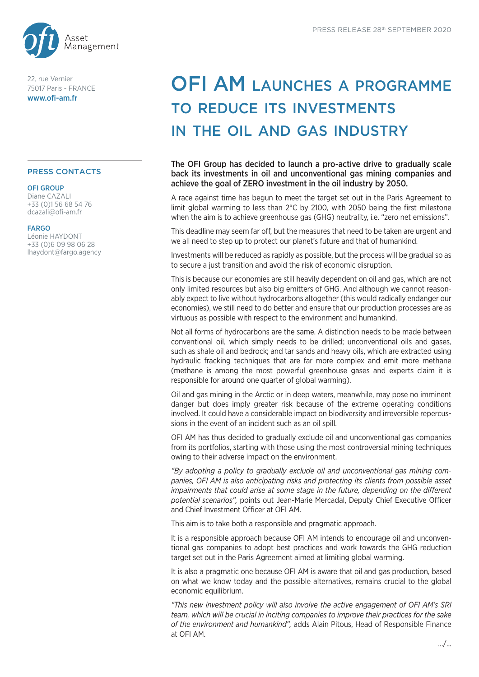

22, rue Vernier 75017 Paris - FRANCE www.ofi-am.fr

# PRESS CONTACTS

#### OFI GROUP

Diane CAZALI +33 (0)1 56 68 54 76 dcazali@ofi-am.fr

## FARGO

Léonie HAYDONT +33 (0)6 09 98 06 28 lhaydont@fargo.agency

# OFI AM LAUNCHES A PROGRAMME to reduce its investments in the oil and gas industry

The OFI Group has decided to launch a pro-active drive to gradually scale back its investments in oil and unconventional gas mining companies and achieve the goal of ZERO investment in the oil industry by 2050.

A race against time has begun to meet the target set out in the Paris Agreement to limit global warming to less than 2°C by 2100, with 2050 being the first milestone when the aim is to achieve greenhouse gas (GHG) neutrality, i.e. "zero net emissions".

This deadline may seem far off, but the measures that need to be taken are urgent and we all need to step up to protect our planet's future and that of humankind.

Investments will be reduced as rapidly as possible, but the process will be gradual so as to secure a just transition and avoid the risk of economic disruption.

This is because our economies are still heavily dependent on oil and gas, which are not only limited resources but also big emitters of GHG. And although we cannot reasonably expect to live without hydrocarbons altogether (this would radically endanger our economies), we still need to do better and ensure that our production processes are as virtuous as possible with respect to the environment and humankind.

Not all forms of hydrocarbons are the same. A distinction needs to be made between conventional oil, which simply needs to be drilled; unconventional oils and gases, such as shale oil and bedrock; and tar sands and heavy oils, which are extracted using hydraulic fracking techniques that are far more complex and emit more methane (methane is among the most powerful greenhouse gases and experts claim it is responsible for around one quarter of global warming).

Oil and gas mining in the Arctic or in deep waters, meanwhile, may pose no imminent danger but does imply greater risk because of the extreme operating conditions involved. It could have a considerable impact on biodiversity and irreversible repercussions in the event of an incident such as an oil spill.

OFI AM has thus decided to gradually exclude oil and unconventional gas companies from its portfolios, starting with those using the most controversial mining techniques owing to their adverse impact on the environment.

*"By adopting a policy to gradually exclude oil and unconventional gas mining companies, OFI AM is also anticipating risks and protecting its clients from possible asset impairments that could arise at some stage in the future, depending on the different potential scenarios",* points out Jean-Marie Mercadal, Deputy Chief Executive Officer and Chief Investment Officer at OFI AM.

This aim is to take both a responsible and pragmatic approach.

It is a responsible approach because OFI AM intends to encourage oil and unconventional gas companies to adopt best practices and work towards the GHG reduction target set out in the Paris Agreement aimed at limiting global warming.

It is also a pragmatic one because OFI AM is aware that oil and gas production, based on what we know today and the possible alternatives, remains crucial to the global economic equilibrium.

*"This new investment policy will also involve the active engagement of OFI AM's SRI team, which will be crucial in inciting companies to improve their practices for the sake of the environment and humankind",* adds Alain Pitous, Head of Responsible Finance at OFI AM.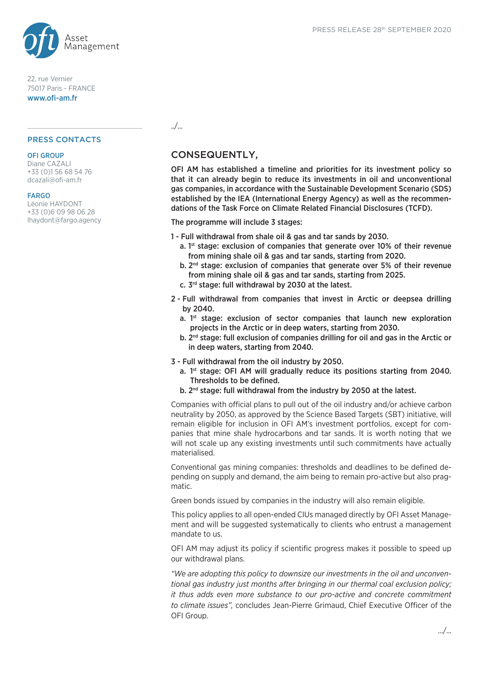

22, rue Vernier 75017 Paris - FRANCE www.ofi-am.fr

## PRESS CONTACTS

## OFI GROUP

Diane CAZALI +33 (0)1 56 68 54 76 dcazali@ofi-am.fr

## **FARGO**

Léonie HAYDONT +33 (0)6 09 98 06 28 lhaydont@fargo.agency ../...

# CONSEQUENTLY,

OFI AM has established a timeline and priorities for its investment policy so that it can already begin to reduce its investments in oil and unconventional gas companies, in accordance with the Sustainable Development Scenario (SDS) established by the IEA (International Energy Agency) as well as the recommendations of the Task Force on Climate Related Financial Disclosures (TCFD).

# The programme will include 3 stages:

- 1 Full withdrawal from shale oil & gas and tar sands by 2030.
	- a.  $1<sup>st</sup>$  stage: exclusion of companies that generate over 10% of their revenue from mining shale oil & gas and tar sands, starting from 2020.
	- b. 2nd stage: exclusion of companies that generate over 5% of their revenue from mining shale oil & gas and tar sands, starting from 2025.
	- c. 3rd stage: full withdrawal by 2030 at the latest.
- 2 Full withdrawal from companies that invest in Arctic or deepsea drilling by 2040.
	- a. 1<sup>st</sup> stage: exclusion of sector companies that launch new exploration projects in the Arctic or in deep waters, starting from 2030.
	- b. 2<sup>nd</sup> stage: full exclusion of companies drilling for oil and gas in the Arctic or in deep waters, starting from 2040.
- 3 Full withdrawal from the oil industry by 2050.
	- a. 1<sup>st</sup> stage: OFI AM will gradually reduce its positions starting from 2040. Thresholds to be defined.
	- b. 2<sup>nd</sup> stage: full withdrawal from the industry by 2050 at the latest.

Companies with official plans to pull out of the oil industry and/or achieve carbon neutrality by 2050, as approved by the Science Based Targets (SBT) initiative, will remain eligible for inclusion in OFI AM's investment portfolios, except for companies that mine shale hydrocarbons and tar sands. It is worth noting that we will not scale up any existing investments until such commitments have actually materialised.

Conventional gas mining companies: thresholds and deadlines to be defined depending on supply and demand, the aim being to remain pro-active but also pragmatic.

Green bonds issued by companies in the industry will also remain eligible.

This policy applies to all open-ended CIUs managed directly by OFI Asset Management and will be suggested systematically to clients who entrust a management mandate to us.

OFI AM may adjust its policy if scientific progress makes it possible to speed up our withdrawal plans.

*"We are adopting this policy to downsize our investments in the oil and unconventional gas industry just months after bringing in our thermal coal exclusion policy; it thus adds even more substance to our pro-active and concrete commitment to climate issues",* concludes Jean-Pierre Grimaud, Chief Executive Officer of the OFI Group.